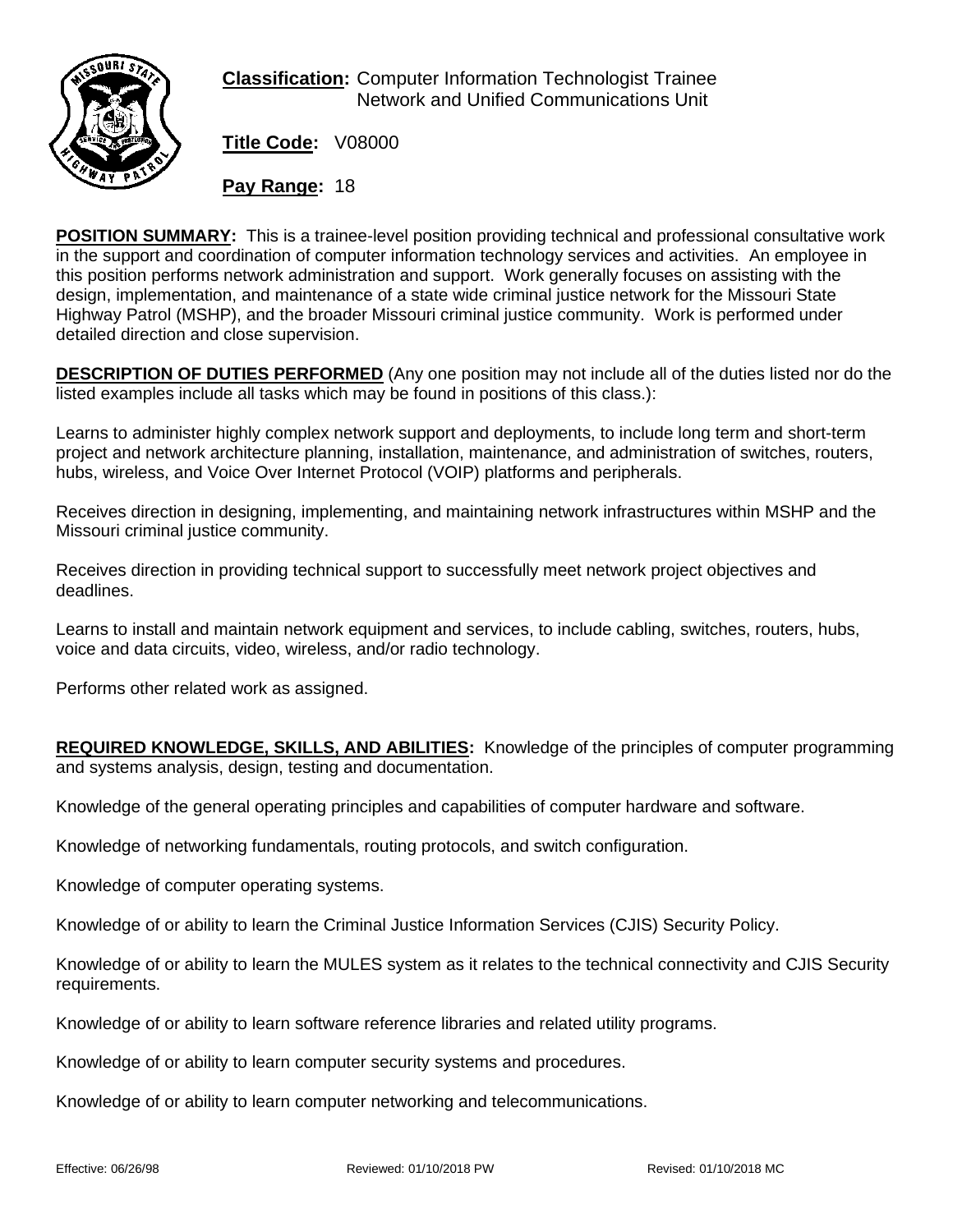

**Classification:** Computer Information Technologist Trainee Network and Unified Communications Unit

**Title Code:** V08000

**Pay Range:** 18

**POSITION SUMMARY:** This is a trainee-level position providing technical and professional consultative work in the support and coordination of computer information technology services and activities. An employee in this position performs network administration and support. Work generally focuses on assisting with the design, implementation, and maintenance of a state wide criminal justice network for the Missouri State Highway Patrol (MSHP), and the broader Missouri criminal justice community. Work is performed under detailed direction and close supervision.

**DESCRIPTION OF DUTIES PERFORMED** (Any one position may not include all of the duties listed nor do the listed examples include all tasks which may be found in positions of this class.):

Learns to administer highly complex network support and deployments, to include long term and short-term project and network architecture planning, installation, maintenance, and administration of switches, routers, hubs, wireless, and Voice Over Internet Protocol (VOIP) platforms and peripherals.

Receives direction in designing, implementing, and maintaining network infrastructures within MSHP and the Missouri criminal justice community.

Receives direction in providing technical support to successfully meet network project objectives and deadlines.

Learns to install and maintain network equipment and services, to include cabling, switches, routers, hubs, voice and data circuits, video, wireless, and/or radio technology.

Performs other related work as assigned.

**REQUIRED KNOWLEDGE, SKILLS, AND ABILITIES:** Knowledge of the principles of computer programming and systems analysis, design, testing and documentation.

Knowledge of the general operating principles and capabilities of computer hardware and software.

Knowledge of networking fundamentals, routing protocols, and switch configuration.

Knowledge of computer operating systems.

Knowledge of or ability to learn the Criminal Justice Information Services (CJIS) Security Policy.

Knowledge of or ability to learn the MULES system as it relates to the technical connectivity and CJIS Security requirements.

Knowledge of or ability to learn software reference libraries and related utility programs.

Knowledge of or ability to learn computer security systems and procedures.

Knowledge of or ability to learn computer networking and telecommunications.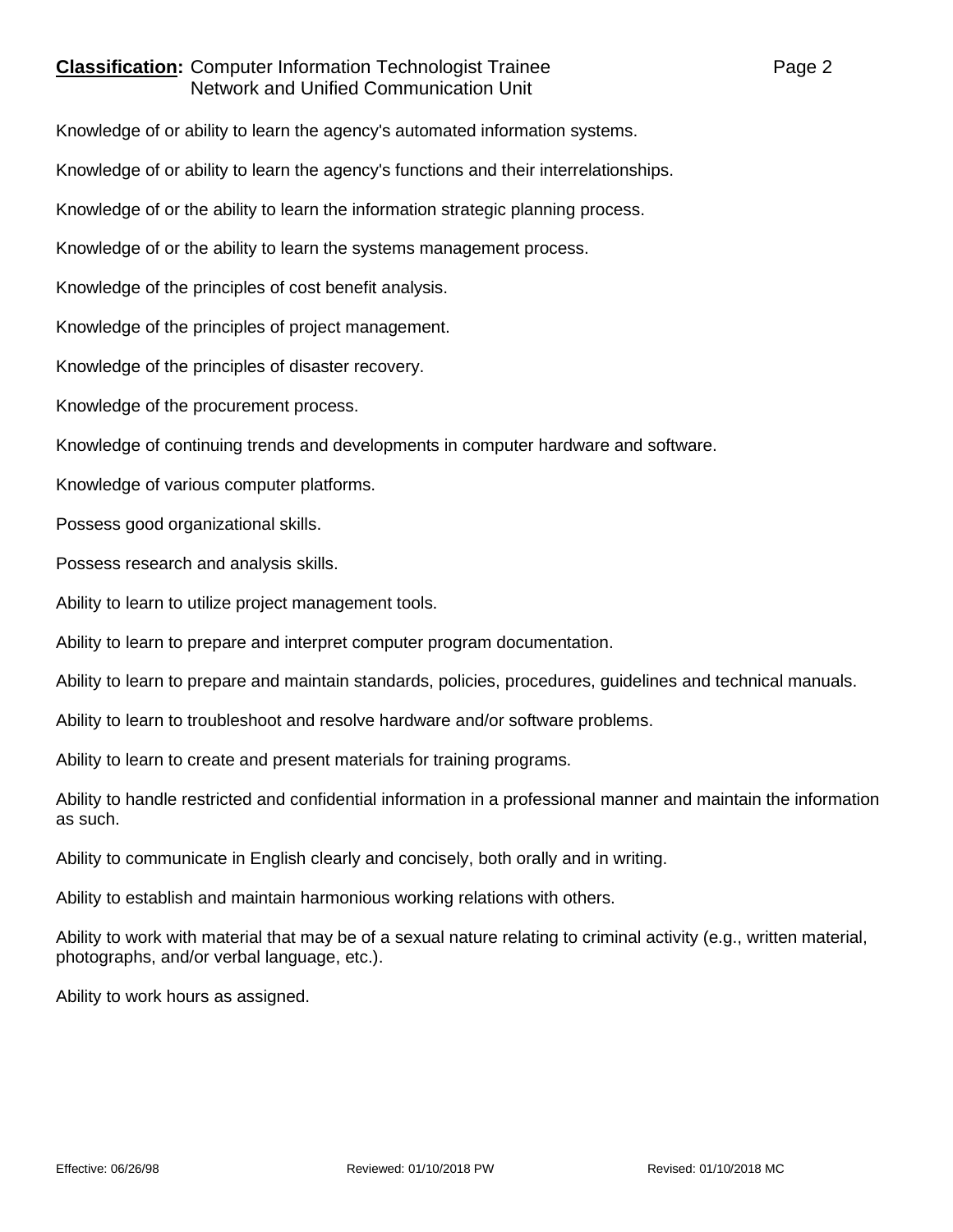## **Classification:** Computer Information Technologist Trainee **Page 2** Page 2 Network and Unified Communication Unit

Knowledge of or ability to learn the agency's automated information systems.

Knowledge of or ability to learn the agency's functions and their interrelationships.

Knowledge of or the ability to learn the information strategic planning process.

Knowledge of or the ability to learn the systems management process.

Knowledge of the principles of cost benefit analysis.

Knowledge of the principles of project management.

Knowledge of the principles of disaster recovery.

Knowledge of the procurement process.

Knowledge of continuing trends and developments in computer hardware and software.

Knowledge of various computer platforms.

Possess good organizational skills.

Possess research and analysis skills.

Ability to learn to utilize project management tools.

Ability to learn to prepare and interpret computer program documentation.

Ability to learn to prepare and maintain standards, policies, procedures, guidelines and technical manuals.

Ability to learn to troubleshoot and resolve hardware and/or software problems.

Ability to learn to create and present materials for training programs.

Ability to handle restricted and confidential information in a professional manner and maintain the information as such.

Ability to communicate in English clearly and concisely, both orally and in writing.

Ability to establish and maintain harmonious working relations with others.

Ability to work with material that may be of a sexual nature relating to criminal activity (e.g., written material, photographs, and/or verbal language, etc.).

Ability to work hours as assigned.